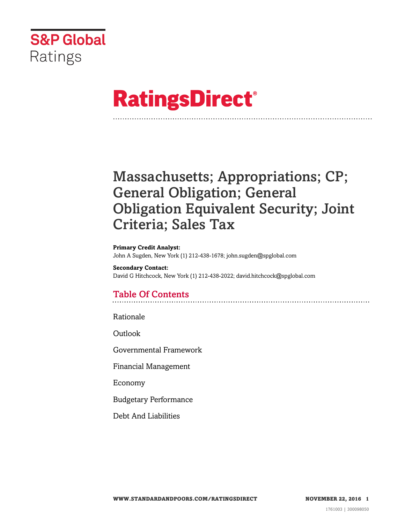

# **RatingsDirect®**

# Massachusetts; Appropriations; CP; General Obligation; General Obligation Equivalent Security; Joint Criteria; Sales Tax

#### **Primary Credit Analyst:**

John A Sugden, New York (1) 212-438-1678; john.sugden@spglobal.com

**Secondary Contact:** David G Hitchcock, New York (1) 212-438-2022; david.hitchcock@spglobal.com

# Table Of Contents

[Rationale](#page-1-0)

[Outlook](#page-4-0)

[Governmental Framework](#page-5-0)

[Financial Management](#page-6-0)

[Economy](#page-7-0)

[Budgetary Performance](#page-8-0)

[Debt And Liabilities](#page-10-0)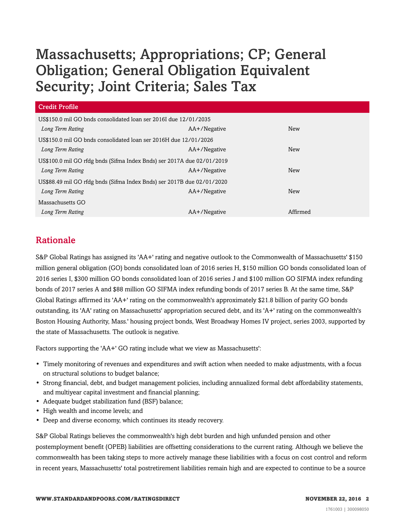| Credit Profile                                                         |              |            |  |  |
|------------------------------------------------------------------------|--------------|------------|--|--|
| US\$150.0 mil GO bnds consolidated loan ser 2016I due 12/01/2035       |              |            |  |  |
| Long Term Rating                                                       | AA+/Negative | New        |  |  |
| US\$150.0 mil GO bnds consolidated loan ser 2016H due 12/01/2026       |              |            |  |  |
| Long Term Rating                                                       | AA+/Negative | <b>New</b> |  |  |
| US\$100.0 mil GO rfdg bnds (Sifma Index Bnds) ser 2017A due 02/01/2019 |              |            |  |  |
| Long Term Rating                                                       | AA+/Negative | <b>New</b> |  |  |
| US\$88.49 mil GO rfdg bnds (Sifma Index Bnds) ser 2017B due 02/01/2020 |              |            |  |  |
| Long Term Rating                                                       | AA+/Negative | <b>New</b> |  |  |
| Massachusetts GO                                                       |              |            |  |  |
| Long Term Rating                                                       | AA+/Negative | Affirmed   |  |  |

# <span id="page-1-0"></span>Rationale

S&P Global Ratings has assigned its 'AA+' rating and negative outlook to the Commonwealth of Massachusetts' \$150 million general obligation (GO) bonds consolidated loan of 2016 series H, \$150 million GO bonds consolidated loan of 2016 series I, \$300 million GO bonds consolidated loan of 2016 series J and \$100 million GO SIFMA index refunding bonds of 2017 series A and \$88 million GO SIFMA index refunding bonds of 2017 series B. At the same time, S&P Global Ratings affirmed its 'AA+' rating on the commonwealth's approximately \$21.8 billion of parity GO bonds outstanding, its 'AA' rating on Massachusetts' appropriation secured debt, and its 'A+' rating on the commonwealth's Boston Housing Authority, Mass.' housing project bonds, West Broadway Homes IV project, series 2003, supported by the state of Massachusetts. The outlook is negative.

Factors supporting the 'AA+' GO rating include what we view as Massachusetts':

- Timely monitoring of revenues and expenditures and swift action when needed to make adjustments, with a focus on structural solutions to budget balance;
- Strong financial, debt, and budget management policies, including annualized formal debt affordability statements, and multiyear capital investment and financial planning;
- Adequate budget stabilization fund (BSF) balance;
- High wealth and income levels; and
- Deep and diverse economy, which continues its steady recovery.

S&P Global Ratings believes the commonwealth's high debt burden and high unfunded pension and other postemployment benefit (OPEB) liabilities are offsetting considerations to the current rating. Although we believe the commonwealth has been taking steps to more actively manage these liabilities with a focus on cost control and reform in recent years, Massachusetts' total postretirement liabilities remain high and are expected to continue to be a source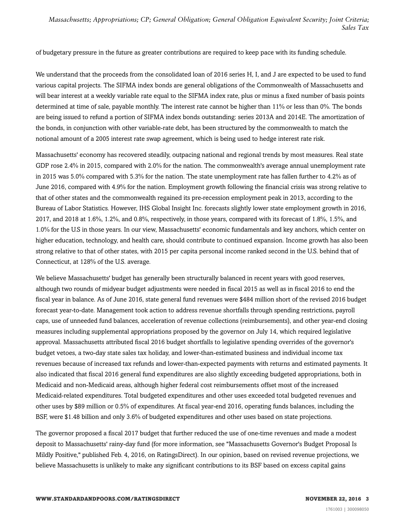of budgetary pressure in the future as greater contributions are required to keep pace with its funding schedule.

We understand that the proceeds from the consolidated loan of 2016 series H, I, and J are expected to be used to fund various capital projects. The SIFMA index bonds are general obligations of the Commonwealth of Massachusetts and will bear interest at a weekly variable rate equal to the SIFMA index rate, plus or minus a fixed number of basis points determined at time of sale, payable monthly. The interest rate cannot be higher than 11% or less than 0%. The bonds are being issued to refund a portion of SIFMA index bonds outstanding: series 2013A and 2014E. The amortization of the bonds, in conjunction with other variable-rate debt, has been structured by the commonwealth to match the notional amount of a 2005 interest rate swap agreement, which is being used to hedge interest rate risk.

Massachusetts' economy has recovered steadily, outpacing national and regional trends by most measures. Real state GDP rose 2.4% in 2015, compared with 2.0% for the nation. The commonwealth's average annual unemployment rate in 2015 was 5.0% compared with 5.3% for the nation. The state unemployment rate has fallen further to 4.2% as of June 2016, compared with 4.9% for the nation. Employment growth following the financial crisis was strong relative to that of other states and the commonwealth regained its pre-recession employment peak in 2013, according to the Bureau of Labor Statistics. However, IHS Global Insight Inc. forecasts slightly lower state employment growth in 2016, 2017, and 2018 at 1.6%, 1.2%, and 0.8%, respectively, in those years, compared with its forecast of 1.8%, 1.5%, and 1.0% for the U.S in those years. In our view, Massachusetts' economic fundamentals and key anchors, which center on higher education, technology, and health care, should contribute to continued expansion. Income growth has also been strong relative to that of other states, with 2015 per capita personal income ranked second in the U.S. behind that of Connecticut, at 128% of the U.S. average.

We believe Massachusetts' budget has generally been structurally balanced in recent years with good reserves, although two rounds of midyear budget adjustments were needed in fiscal 2015 as well as in fiscal 2016 to end the fiscal year in balance. As of June 2016, state general fund revenues were \$484 million short of the revised 2016 budget forecast year-to-date. Management took action to address revenue shortfalls through spending restrictions, payroll caps, use of unneeded fund balances, acceleration of revenue collections (reimbursements), and other year-end closing measures including supplemental appropriations proposed by the governor on July 14, which required legislative approval. Massachusetts attributed fiscal 2016 budget shortfalls to legislative spending overrides of the governor's budget vetoes, a two-day state sales tax holiday, and lower-than-estimated business and individual income tax revenues because of increased tax refunds and lower-than-expected payments with returns and estimated payments. It also indicated that fiscal 2016 general fund expenditures are also slightly exceeding budgeted appropriations, both in Medicaid and non-Medicaid areas, although higher federal cost reimbursements offset most of the increased Medicaid-related expenditures. Total budgeted expenditures and other uses exceeded total budgeted revenues and other uses by \$89 million or 0.5% of expenditures. At fiscal year-end 2016, operating funds balances, including the BSF, were \$1.48 billion and only 3.6% of budgeted expenditures and other uses based on state projections.

The governor proposed a fiscal 2017 budget that further reduced the use of one-time revenues and made a modest deposit to Massachusetts' rainy-day fund (for more information, see "Massachusetts Governor's Budget Proposal Is Mildly Positive," published Feb. 4, 2016, on RatingsDirect). In our opinion, based on revised revenue projections, we believe Massachusetts is unlikely to make any significant contributions to its BSF based on excess capital gains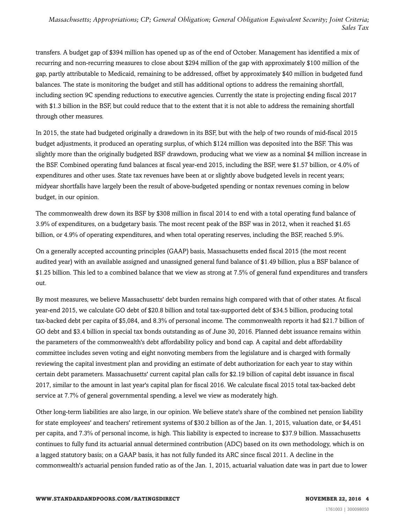transfers. A budget gap of \$394 million has opened up as of the end of October. Management has identified a mix of recurring and non-recurring measures to close about \$294 million of the gap with approximately \$100 million of the gap, partly attributable to Medicaid, remaining to be addressed, offset by approximately \$40 million in budgeted fund balances. The state is monitoring the budget and still has additional options to address the remaining shortfall, including section 9C spending reductions to executive agencies. Currently the state is projecting ending fiscal 2017 with \$1.3 billion in the BSF, but could reduce that to the extent that it is not able to address the remaining shortfall through other measures.

In 2015, the state had budgeted originally a drawdown in its BSF, but with the help of two rounds of mid-fiscal 2015 budget adjustments, it produced an operating surplus, of which \$124 million was deposited into the BSF. This was slightly more than the originally budgeted BSF drawdown, producing what we view as a nominal \$4 million increase in the BSF. Combined operating fund balances at fiscal year-end 2015, including the BSF, were \$1.57 billion, or 4.0% of expenditures and other uses. State tax revenues have been at or slightly above budgeted levels in recent years; midyear shortfalls have largely been the result of above-budgeted spending or nontax revenues coming in below budget, in our opinion.

The commonwealth drew down its BSF by \$308 million in fiscal 2014 to end with a total operating fund balance of 3.9% of expenditures, on a budgetary basis. The most recent peak of the BSF was in 2012, when it reached \$1.65 billion, or 4.9% of operating expenditures, and when total operating reserves, including the BSF, reached 5.9%.

On a generally accepted accounting principles (GAAP) basis, Massachusetts ended fiscal 2015 (the most recent audited year) with an available assigned and unassigned general fund balance of \$1.49 billion, plus a BSF balance of \$1.25 billion. This led to a combined balance that we view as strong at 7.5% of general fund expenditures and transfers out.

By most measures, we believe Massachusetts' debt burden remains high compared with that of other states. At fiscal year-end 2015, we calculate GO debt of \$20.8 billion and total tax-supported debt of \$34.5 billion, producing total tax-backed debt per capita of \$5,084, and 8.3% of personal income. The commonwealth reports it had \$21.7 billion of GO debt and \$3.4 billion in special tax bonds outstanding as of June 30, 2016. Planned debt issuance remains within the parameters of the commonwealth's debt affordability policy and bond cap. A capital and debt affordability committee includes seven voting and eight nonvoting members from the legislature and is charged with formally reviewing the capital investment plan and providing an estimate of debt authorization for each year to stay within certain debt parameters. Massachusetts' current capital plan calls for \$2.19 billion of capital debt issuance in fiscal 2017, similar to the amount in last year's capital plan for fiscal 2016. We calculate fiscal 2015 total tax-backed debt service at 7.7% of general governmental spending, a level we view as moderately high.

Other long-term liabilities are also large, in our opinion. We believe state's share of the combined net pension liability for state employees' and teachers' retirement systems of \$30.2 billion as of the Jan. 1, 2015, valuation date, or \$4,451 per capita, and 7.3% of personal income, is high. This liability is expected to increase to \$37.9 billion. Massachusetts continues to fully fund its actuarial annual determined contribution (ADC) based on its own methodology, which is on a lagged statutory basis; on a GAAP basis, it has not fully funded its ARC since fiscal 2011. A decline in the commonwealth's actuarial pension funded ratio as of the Jan. 1, 2015, actuarial valuation date was in part due to lower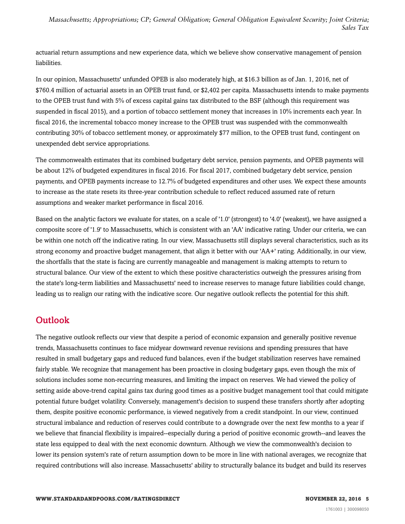actuarial return assumptions and new experience data, which we believe show conservative management of pension liabilities.

In our opinion, Massachusetts' unfunded OPEB is also moderately high, at \$16.3 billion as of Jan. 1, 2016, net of \$760.4 million of actuarial assets in an OPEB trust fund, or \$2,402 per capita. Massachusetts intends to make payments to the OPEB trust fund with 5% of excess capital gains tax distributed to the BSF (although this requirement was suspended in fiscal 2015), and a portion of tobacco settlement money that increases in 10% increments each year. In fiscal 2016, the incremental tobacco money increase to the OPEB trust was suspended with the commonwealth contributing 30% of tobacco settlement money, or approximately \$77 million, to the OPEB trust fund, contingent on unexpended debt service appropriations.

The commonwealth estimates that its combined budgetary debt service, pension payments, and OPEB payments will be about 12% of budgeted expenditures in fiscal 2016. For fiscal 2017, combined budgetary debt service, pension payments, and OPEB payments increase to 12.7% of budgeted expenditures and other uses. We expect these amounts to increase as the state resets its three-year contribution schedule to reflect reduced assumed rate of return assumptions and weaker market performance in fiscal 2016.

Based on the analytic factors we evaluate for states, on a scale of '1.0' (strongest) to '4.0' (weakest), we have assigned a composite score of '1.9' to Massachusetts, which is consistent with an 'AA' indicative rating. Under our criteria, we can be within one notch off the indicative rating. In our view, Massachusetts still displays several characteristics, such as its strong economy and proactive budget management, that align it better with our 'AA+' rating. Additionally, in our view, the shortfalls that the state is facing are currently manageable and management is making attempts to return to structural balance. Our view of the extent to which these positive characteristics outweigh the pressures arising from the state's long-term liabilities and Massachusetts' need to increase reserves to manage future liabilities could change, leading us to realign our rating with the indicative score. Our negative outlook reflects the potential for this shift.

### <span id="page-4-0"></span>**Outlook**

The negative outlook reflects our view that despite a period of economic expansion and generally positive revenue trends, Massachusetts continues to face midyear downward revenue revisions and spending pressures that have resulted in small budgetary gaps and reduced fund balances, even if the budget stabilization reserves have remained fairly stable. We recognize that management has been proactive in closing budgetary gaps, even though the mix of solutions includes some non-recurring measures, and limiting the impact on reserves. We had viewed the policy of setting aside above-trend capital gains tax during good times as a positive budget management tool that could mitigate potential future budget volatility. Conversely, management's decision to suspend these transfers shortly after adopting them, despite positive economic performance, is viewed negatively from a credit standpoint. In our view, continued structural imbalance and reduction of reserves could contribute to a downgrade over the next few months to a year if we believe that financial flexibility is impaired--especially during a period of positive economic growth--and leaves the state less equipped to deal with the next economic downturn. Although we view the commonwealth's decision to lower its pension system's rate of return assumption down to be more in line with national averages, we recognize that required contributions will also increase. Massachusetts' ability to structurally balance its budget and build its reserves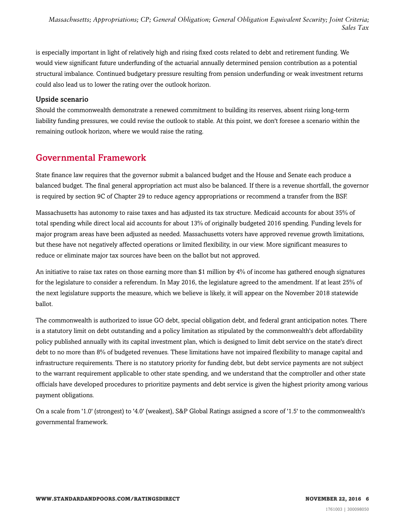is especially important in light of relatively high and rising fixed costs related to debt and retirement funding. We would view significant future underfunding of the actuarial annually determined pension contribution as a potential structural imbalance. Continued budgetary pressure resulting from pension underfunding or weak investment returns could also lead us to lower the rating over the outlook horizon.

#### Upside scenario

Should the commonwealth demonstrate a renewed commitment to building its reserves, absent rising long-term liability funding pressures, we could revise the outlook to stable. At this point, we don't foresee a scenario within the remaining outlook horizon, where we would raise the rating.

#### <span id="page-5-0"></span>Governmental Framework

State finance law requires that the governor submit a balanced budget and the House and Senate each produce a balanced budget. The final general appropriation act must also be balanced. If there is a revenue shortfall, the governor is required by section 9C of Chapter 29 to reduce agency appropriations or recommend a transfer from the BSF.

Massachusetts has autonomy to raise taxes and has adjusted its tax structure. Medicaid accounts for about 35% of total spending while direct local aid accounts for about 13% of originally budgeted 2016 spending. Funding levels for major program areas have been adjusted as needed. Massachusetts voters have approved revenue growth limitations, but these have not negatively affected operations or limited flexibility, in our view. More significant measures to reduce or eliminate major tax sources have been on the ballot but not approved.

An initiative to raise tax rates on those earning more than \$1 million by 4% of income has gathered enough signatures for the legislature to consider a referendum. In May 2016, the legislature agreed to the amendment. If at least 25% of the next legislature supports the measure, which we believe is likely, it will appear on the November 2018 statewide ballot.

The commonwealth is authorized to issue GO debt, special obligation debt, and federal grant anticipation notes. There is a statutory limit on debt outstanding and a policy limitation as stipulated by the commonwealth's debt affordability policy published annually with its capital investment plan, which is designed to limit debt service on the state's direct debt to no more than 8% of budgeted revenues. These limitations have not impaired flexibility to manage capital and infrastructure requirements. There is no statutory priority for funding debt, but debt service payments are not subject to the warrant requirement applicable to other state spending, and we understand that the comptroller and other state officials have developed procedures to prioritize payments and debt service is given the highest priority among various payment obligations.

On a scale from '1.0' (strongest) to '4.0' (weakest), S&P Global Ratings assigned a score of '1.5' to the commonwealth's governmental framework.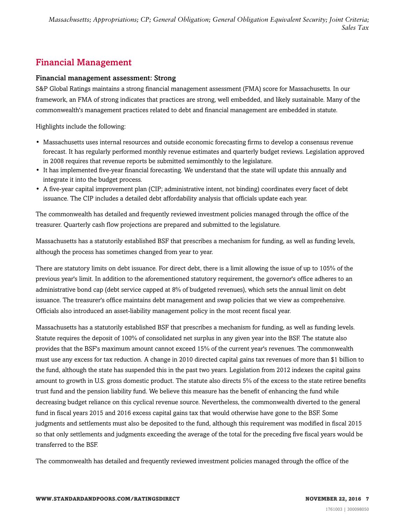# <span id="page-6-0"></span>Financial Management

#### Financial management assessment: Strong

S&P Global Ratings maintains a strong financial management assessment (FMA) score for Massachusetts. In our framework, an FMA of strong indicates that practices are strong, well embedded, and likely sustainable. Many of the commonwealth's management practices related to debt and financial management are embedded in statute.

Highlights include the following:

- Massachusetts uses internal resources and outside economic forecasting firms to develop a consensus revenue forecast. It has regularly performed monthly revenue estimates and quarterly budget reviews. Legislation approved in 2008 requires that revenue reports be submitted semimonthly to the legislature.
- It has implemented five-year financial forecasting. We understand that the state will update this annually and integrate it into the budget process.
- A five-year capital improvement plan (CIP; administrative intent, not binding) coordinates every facet of debt issuance. The CIP includes a detailed debt affordability analysis that officials update each year.

The commonwealth has detailed and frequently reviewed investment policies managed through the office of the treasurer. Quarterly cash flow projections are prepared and submitted to the legislature.

Massachusetts has a statutorily established BSF that prescribes a mechanism for funding, as well as funding levels, although the process has sometimes changed from year to year.

There are statutory limits on debt issuance. For direct debt, there is a limit allowing the issue of up to 105% of the previous year's limit. In addition to the aforementioned statutory requirement, the governor's office adheres to an administrative bond cap (debt service capped at 8% of budgeted revenues), which sets the annual limit on debt issuance. The treasurer's office maintains debt management and swap policies that we view as comprehensive. Officials also introduced an asset-liability management policy in the most recent fiscal year.

Massachusetts has a statutorily established BSF that prescribes a mechanism for funding, as well as funding levels. Statute requires the deposit of 100% of consolidated net surplus in any given year into the BSF. The statute also provides that the BSF's maximum amount cannot exceed 15% of the current year's revenues. The commonwealth must use any excess for tax reduction. A change in 2010 directed capital gains tax revenues of more than \$1 billion to the fund, although the state has suspended this in the past two years. Legislation from 2012 indexes the capital gains amount to growth in U.S. gross domestic product. The statute also directs 5% of the excess to the state retiree benefits trust fund and the pension liability fund. We believe this measure has the benefit of enhancing the fund while decreasing budget reliance on this cyclical revenue source. Nevertheless, the commonwealth diverted to the general fund in fiscal years 2015 and 2016 excess capital gains tax that would otherwise have gone to the BSF. Some judgments and settlements must also be deposited to the fund, although this requirement was modified in fiscal 2015 so that only settlements and judgments exceeding the average of the total for the preceding five fiscal years would be transferred to the BSF.

The commonwealth has detailed and frequently reviewed investment policies managed through the office of the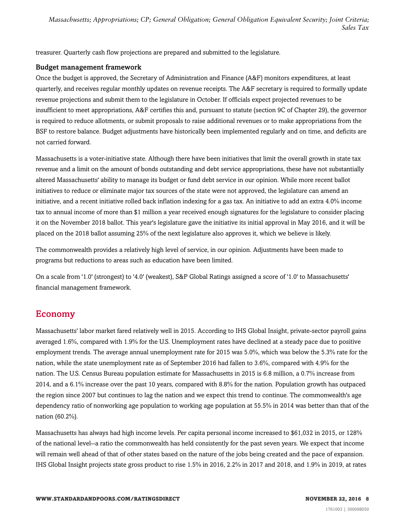treasurer. Quarterly cash flow projections are prepared and submitted to the legislature.

#### Budget management framework

Once the budget is approved, the Secretary of Administration and Finance (A&F) monitors expenditures, at least quarterly, and receives regular monthly updates on revenue receipts. The A&F secretary is required to formally update revenue projections and submit them to the legislature in October. If officials expect projected revenues to be insufficient to meet appropriations, A&F certifies this and, pursuant to statute (section 9C of Chapter 29), the governor is required to reduce allotments, or submit proposals to raise additional revenues or to make appropriations from the BSF to restore balance. Budget adjustments have historically been implemented regularly and on time, and deficits are not carried forward.

Massachusetts is a voter-initiative state. Although there have been initiatives that limit the overall growth in state tax revenue and a limit on the amount of bonds outstanding and debt service appropriations, these have not substantially altered Massachusetts' ability to manage its budget or fund debt service in our opinion. While more recent ballot initiatives to reduce or eliminate major tax sources of the state were not approved, the legislature can amend an initiative, and a recent initiative rolled back inflation indexing for a gas tax. An initiative to add an extra 4.0% income tax to annual income of more than \$1 million a year received enough signatures for the legislature to consider placing it on the November 2018 ballot. This year's legislature gave the initiative its initial approval in May 2016, and it will be placed on the 2018 ballot assuming 25% of the next legislature also approves it, which we believe is likely.

The commonwealth provides a relatively high level of service, in our opinion. Adjustments have been made to programs but reductions to areas such as education have been limited.

On a scale from '1.0' (strongest) to '4.0' (weakest), S&P Global Ratings assigned a score of '1.0' to Massachusetts' financial management framework.

### <span id="page-7-0"></span>Economy

Massachusetts' labor market fared relatively well in 2015. According to IHS Global Insight, private-sector payroll gains averaged 1.6%, compared with 1.9% for the U.S. Unemployment rates have declined at a steady pace due to positive employment trends. The average annual unemployment rate for 2015 was 5.0%, which was below the 5.3% rate for the nation, while the state unemployment rate as of September 2016 had fallen to 3.6%, compared with 4.9% for the nation. The U.S. Census Bureau population estimate for Massachusetts in 2015 is 6.8 million, a 0.7% increase from 2014, and a 6.1% increase over the past 10 years, compared with 8.8% for the nation. Population growth has outpaced the region since 2007 but continues to lag the nation and we expect this trend to continue. The commonwealth's age dependency ratio of nonworking age population to working age population at 55.5% in 2014 was better than that of the nation (60.2%).

Massachusetts has always had high income levels. Per capita personal income increased to \$61,032 in 2015, or 128% of the national level--a ratio the commonwealth has held consistently for the past seven years. We expect that income will remain well ahead of that of other states based on the nature of the jobs being created and the pace of expansion. IHS Global Insight projects state gross product to rise 1.5% in 2016, 2.2% in 2017 and 2018, and 1.9% in 2019, at rates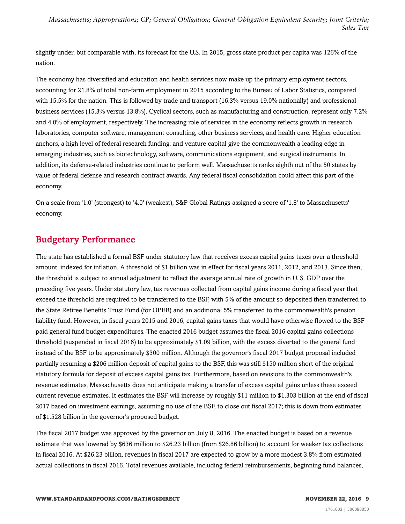slightly under, but comparable with, its forecast for the U.S. In 2015, gross state product per capita was 126% of the nation.

The economy has diversified and education and health services now make up the primary employment sectors, accounting for 21.8% of total non-farm employment in 2015 according to the Bureau of Labor Statistics, compared with 15.5% for the nation. This is followed by trade and transport (16.3% versus 19.0% nationally) and professional business services (15.3% versus 13.8%). Cyclical sectors, such as manufacturing and construction, represent only 7.2% and 4.0% of employment, respectively. The increasing role of services in the economy reflects growth in research laboratories, computer software, management consulting, other business services, and health care. Higher education anchors, a high level of federal research funding, and venture capital give the commonwealth a leading edge in emerging industries, such as biotechnology, software, communications equipment, and surgical instruments. In addition, its defense-related industries continue to perform well. Massachusetts ranks eighth out of the 50 states by value of federal defense and research contract awards. Any federal fiscal consolidation could affect this part of the economy.

On a scale from '1.0' (strongest) to '4.0' (weakest), S&P Global Ratings assigned a score of '1.8' to Massachusetts' economy.

# <span id="page-8-0"></span>Budgetary Performance

The state has established a formal BSF under statutory law that receives excess capital gains taxes over a threshold amount, indexed for inflation. A threshold of \$1 billion was in effect for fiscal years 2011, 2012, and 2013. Since then, the threshold is subject to annual adjustment to reflect the average annual rate of growth in U. S. GDP over the preceding five years. Under statutory law, tax revenues collected from capital gains income during a fiscal year that exceed the threshold are required to be transferred to the BSF, with 5% of the amount so deposited then transferred to the State Retiree Benefits Trust Fund (for OPEB) and an additional 5% transferred to the commonwealth's pension liability fund. However, in fiscal years 2015 and 2016, capital gains taxes that would have otherwise flowed to the BSF paid general fund budget expenditures. The enacted 2016 budget assumes the fiscal 2016 capital gains collections threshold (suspended in fiscal 2016) to be approximately \$1.09 billion, with the excess diverted to the general fund instead of the BSF to be approximately \$300 million. Although the governor's fiscal 2017 budget proposal included partially resuming a \$206 million deposit of capital gains to the BSF, this was still \$150 million short of the original statutory formula for deposit of excess capital gains tax. Furthermore, based on revisions to the commonwealth's revenue estimates, Massachusetts does not anticipate making a transfer of excess capital gains unless these exceed current revenue estimates. It estimates the BSF will increase by roughly \$11 million to \$1.303 billion at the end of fiscal 2017 based on investment earnings, assuming no use of the BSF, to close out fiscal 2017; this is down from estimates of \$1.528 billion in the governor's proposed budget.

The fiscal 2017 budget was approved by the governor on July 8, 2016. The enacted budget is based on a revenue estimate that was lowered by \$636 million to \$26.23 billion (from \$26.86 billion) to account for weaker tax collections in fiscal 2016. At \$26.23 billion, revenues in fiscal 2017 are expected to grow by a more modest 3.8% from estimated actual collections in fiscal 2016. Total revenues available, including federal reimbursements, beginning fund balances,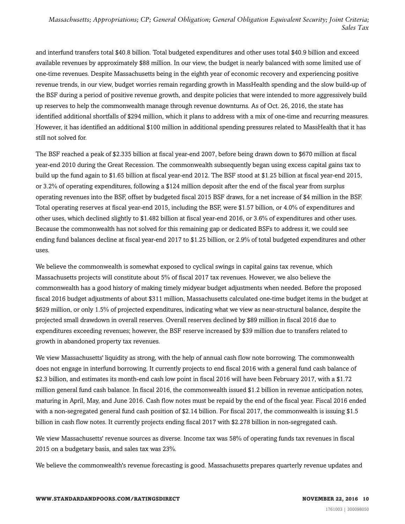and interfund transfers total \$40.8 billion. Total budgeted expenditures and other uses total \$40.9 billion and exceed available revenues by approximately \$88 million. In our view, the budget is nearly balanced with some limited use of one-time revenues. Despite Massachusetts being in the eighth year of economic recovery and experiencing positive revenue trends, in our view, budget worries remain regarding growth in MassHealth spending and the slow build-up of the BSF during a period of positive revenue growth, and despite policies that were intended to more aggressively build up reserves to help the commonwealth manage through revenue downturns. As of Oct. 26, 2016, the state has identified additional shortfalls of \$294 million, which it plans to address with a mix of one-time and recurring measures. However, it has identified an additional \$100 million in additional spending pressures related to MassHealth that it has still not solved for.

The BSF reached a peak of \$2.335 billion at fiscal year-end 2007, before being drawn down to \$670 million at fiscal year-end 2010 during the Great Recession. The commonwealth subsequently began using excess capital gains tax to build up the fund again to \$1.65 billion at fiscal year-end 2012. The BSF stood at \$1.25 billion at fiscal year-end 2015, or 3.2% of operating expenditures, following a \$124 million deposit after the end of the fiscal year from surplus operating revenues into the BSF, offset by budgeted fiscal 2015 BSF draws, for a net increase of \$4 million in the BSF. Total operating reserves at fiscal year-end 2015, including the BSF, were \$1.57 billion, or 4.0% of expenditures and other uses, which declined slightly to \$1.482 billion at fiscal year-end 2016, or 3.6% of expenditures and other uses. Because the commonwealth has not solved for this remaining gap or dedicated BSFs to address it, we could see ending fund balances decline at fiscal year-end 2017 to \$1.25 billion, or 2.9% of total budgeted expenditures and other uses.

We believe the commonwealth is somewhat exposed to cyclical swings in capital gains tax revenue, which Massachusetts projects will constitute about 5% of fiscal 2017 tax revenues. However, we also believe the commonwealth has a good history of making timely midyear budget adjustments when needed. Before the proposed fiscal 2016 budget adjustments of about \$311 million, Massachusetts calculated one-time budget items in the budget at \$629 million, or only 1.5% of projected expenditures, indicating what we view as near-structural balance, despite the projected small drawdown in overall reserves. Overall reserves declined by \$89 million in fiscal 2016 due to expenditures exceeding revenues; however, the BSF reserve increased by \$39 million due to transfers related to growth in abandoned property tax revenues.

We view Massachusetts' liquidity as strong, with the help of annual cash flow note borrowing. The commonwealth does not engage in interfund borrowing. It currently projects to end fiscal 2016 with a general fund cash balance of \$2.3 billion, and estimates its month-end cash low point in fiscal 2016 will have been February 2017, with a \$1.72 million general fund cash balance. In fiscal 2016, the commonwealth issued \$1.2 billion in revenue anticipation notes, maturing in April, May, and June 2016. Cash flow notes must be repaid by the end of the fiscal year. Fiscal 2016 ended with a non-segregated general fund cash position of \$2.14 billion. For fiscal 2017, the commonwealth is issuing \$1.5 billion in cash flow notes. It currently projects ending fiscal 2017 with \$2.278 billion in non-segregated cash.

We view Massachusetts' revenue sources as diverse. Income tax was 58% of operating funds tax revenues in fiscal 2015 on a budgetary basis, and sales tax was 23%.

We believe the commonwealth's revenue forecasting is good. Massachusetts prepares quarterly revenue updates and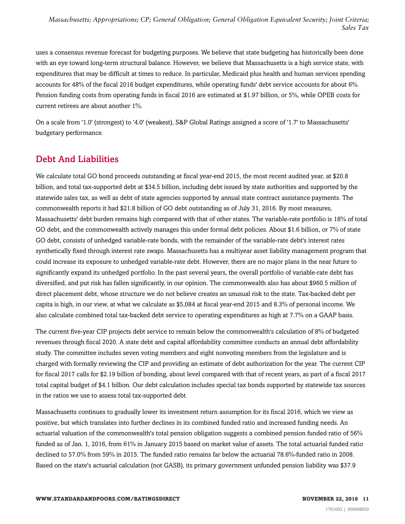uses a consensus revenue forecast for budgeting purposes. We believe that state budgeting has historically been done with an eye toward long-term structural balance. However, we believe that Massachusetts is a high service state, with expenditures that may be difficult at times to reduce. In particular, Medicaid plus health and human services spending accounts for 48% of the fiscal 2016 budget expenditures, while operating funds' debt service accounts for about 6%. Pension funding costs from operating funds in fiscal 2016 are estimated at \$1.97 billion, or 5%, while OPEB costs for current retirees are about another 1%.

On a scale from '1.0' (strongest) to '4.0' (weakest), S&P Global Ratings assigned a score of '1.7' to Massachusetts' budgetary performance.

# <span id="page-10-0"></span>Debt And Liabilities

We calculate total GO bond proceeds outstanding at fiscal year-end 2015, the most recent audited year, at \$20.8 billion, and total tax-supported debt at \$34.5 billion, including debt issued by state authorities and supported by the statewide sales tax, as well as debt of state agencies supported by annual state contract assistance payments. The commonwealth reports it had \$21.8 billion of GO debt outstanding as of July 31, 2016. By most measures, Massachusetts' debt burden remains high compared with that of other states. The variable-rate portfolio is 18% of total GO debt, and the commonwealth actively manages this under formal debt policies. About \$1.6 billion, or 7% of state GO debt, consists of unhedged variable-rate bonds, with the remainder of the variable-rate debt's interest rates synthetically fixed through interest rate swaps. Massachusetts has a multiyear asset liability management program that could increase its exposure to unhedged variable-rate debt. However, there are no major plans in the near future to significantly expand its unhedged portfolio. In the past several years, the overall portfolio of variable-rate debt has diversified, and put risk has fallen significantly, in our opinion. The commonwealth also has about \$960.5 million of direct placement debt, whose structure we do not believe creates an unusual risk to the state. Tax-backed debt per capita is high, in our view, at what we calculate as \$5,084 at fiscal year-end 2015 and 8.3% of personal income. We also calculate combined total tax-backed debt service to operating expenditures as high at 7.7% on a GAAP basis.

The current five-year CIP projects debt service to remain below the commonwealth's calculation of 8% of budgeted revenues through fiscal 2020. A state debt and capital affordability committee conducts an annual debt affordability study. The committee includes seven voting members and eight nonvoting members from the legislature and is charged with formally reviewing the CIP and providing an estimate of debt authorization for the year. The current CIP for fiscal 2017 calls for \$2.19 billion of bonding, about level compared with that of recent years, as part of a fiscal 2017 total capital budget of \$4.1 billion. Our debt calculation includes special tax bonds supported by statewide tax sources in the ratios we use to assess total tax-supported debt.

Massachusetts continues to gradually lower its investment return assumption for its fiscal 2016, which we view as positive, but which translates into further declines in its combined funded ratio and increased funding needs. An actuarial valuation of the commonwealth's total pension obligation suggests a combined pension funded ratio of 56% funded as of Jan. 1, 2016, from 61% in January 2015 based on market value of assets. The total actuarial funded ratio declined to 57.0% from 59% in 2015. The funded ratio remains far below the actuarial 78.6%-funded ratio in 2008. Based on the state's actuarial calculation (not GASB), its primary government unfunded pension liability was \$37.9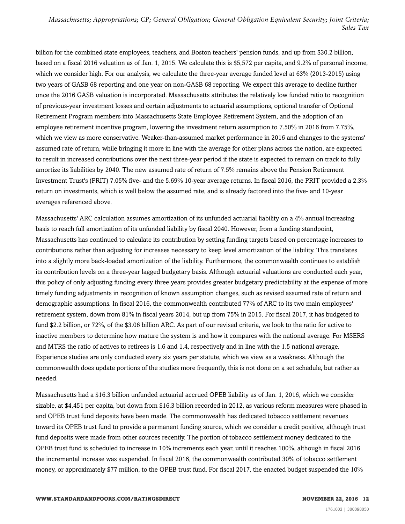billion for the combined state employees, teachers, and Boston teachers' pension funds, and up from \$30.2 billion, based on a fiscal 2016 valuation as of Jan. 1, 2015. We calculate this is \$5,572 per capita, and 9.2% of personal income, which we consider high. For our analysis, we calculate the three-year average funded level at 63% (2013-2015) using two years of GASB 68 reporting and one year on non-GASB 68 reporting. We expect this average to decline further once the 2016 GASB valuation is incorporated. Massachusetts attributes the relatively low funded ratio to recognition of previous-year investment losses and certain adjustments to actuarial assumptions, optional transfer of Optional Retirement Program members into Massachusetts State Employee Retirement System, and the adoption of an employee retirement incentive program, lowering the investment return assumption to 7.50% in 2016 from 7.75%, which we view as more conservative. Weaker-than-assumed market performance in 2016 and changes to the systems' assumed rate of return, while bringing it more in line with the average for other plans across the nation, are expected to result in increased contributions over the next three-year period if the state is expected to remain on track to fully amortize its liabilities by 2040. The new assumed rate of return of 7.5% remains above the Pension Retirement Investment Trust's (PRIT) 7.05% five- and the 5.69% 10-year average returns. In fiscal 2016, the PRIT provided a 2.3% return on investments, which is well below the assumed rate, and is already factored into the five- and 10-year averages referenced above.

Massachusetts' ARC calculation assumes amortization of its unfunded actuarial liability on a 4% annual increasing basis to reach full amortization of its unfunded liability by fiscal 2040. However, from a funding standpoint, Massachusetts has continued to calculate its contribution by setting funding targets based on percentage increases to contributions rather than adjusting for increases necessary to keep level amortization of the liability. This translates into a slightly more back-loaded amortization of the liability. Furthermore, the commonwealth continues to establish its contribution levels on a three-year lagged budgetary basis. Although actuarial valuations are conducted each year, this policy of only adjusting funding every three years provides greater budgetary predictability at the expense of more timely funding adjustments in recognition of known assumption changes, such as revised assumed rate of return and demographic assumptions. In fiscal 2016, the commonwealth contributed 77% of ARC to its two main employees' retirement system, down from 81% in fiscal years 2014, but up from 75% in 2015. For fiscal 2017, it has budgeted to fund \$2.2 billion, or 72%, of the \$3.06 billion ARC. As part of our revised criteria, we look to the ratio for active to inactive members to determine how mature the system is and how it compares with the national average. For MSERS and MTRS the ratio of actives to retirees is 1.6 and 1.4, respectively and in line with the 1.5 national average. Experience studies are only conducted every six years per statute, which we view as a weakness. Although the commonwealth does update portions of the studies more frequently, this is not done on a set schedule, but rather as needed.

Massachusetts had a \$16.3 billion unfunded actuarial accrued OPEB liability as of Jan. 1, 2016, which we consider sizable, at \$4,451 per capita, but down from \$16.3 billion recorded in 2012, as various reform measures were phased in and OPEB trust fund deposits have been made. The commonwealth has dedicated tobacco settlement revenues toward its OPEB trust fund to provide a permanent funding source, which we consider a credit positive, although trust fund deposits were made from other sources recently. The portion of tobacco settlement money dedicated to the OPEB trust fund is scheduled to increase in 10% increments each year, until it reaches 100%, although in fiscal 2016 the incremental increase was suspended. In fiscal 2016, the commonwealth contributed 30% of tobacco settlement money, or approximately \$77 million, to the OPEB trust fund. For fiscal 2017, the enacted budget suspended the 10%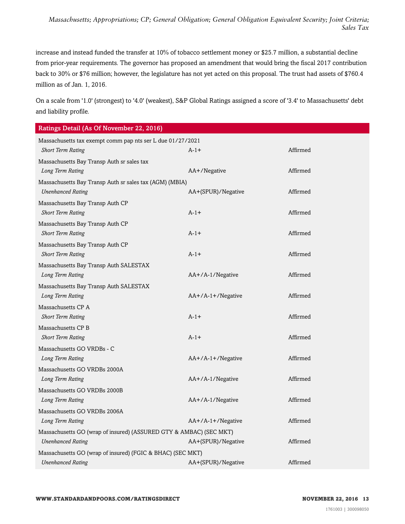increase and instead funded the transfer at 10% of tobacco settlement money or \$25.7 million, a substantial decline from prior-year requirements. The governor has proposed an amendment that would bring the fiscal 2017 contribution back to 30% or \$76 million; however, the legislature has not yet acted on this proposal. The trust had assets of \$760.4 million as of Jan. 1, 2016.

On a scale from '1.0' (strongest) to '4.0' (weakest), S&P Global Ratings assigned a score of '3.4' to Massachusetts' debt and liability profile.

| Ratings Detail (As Of November 22, 2016)                           |                     |          |  |  |
|--------------------------------------------------------------------|---------------------|----------|--|--|
| Massachusetts tax exempt comm pap nts ser L due 01/27/2021         |                     |          |  |  |
| <b>Short Term Rating</b>                                           | $A-1+$              | Affirmed |  |  |
| Massachusetts Bay Transp Auth sr sales tax                         |                     |          |  |  |
| Long Term Rating                                                   | AA+/Negative        | Affirmed |  |  |
| Massachusetts Bay Transp Auth sr sales tax (AGM) (MBIA)            |                     |          |  |  |
| <b>Unenhanced Rating</b>                                           | AA+(SPUR)/Negative  | Affirmed |  |  |
| Massachusetts Bay Transp Auth CP                                   |                     |          |  |  |
| <b>Short Term Rating</b>                                           | $A-1+$              | Affirmed |  |  |
| Massachusetts Bay Transp Auth CP                                   |                     |          |  |  |
| <b>Short Term Rating</b>                                           | $A-1+$              | Affirmed |  |  |
| Massachusetts Bay Transp Auth CP                                   |                     |          |  |  |
| <b>Short Term Rating</b>                                           | $A-1+$              | Affirmed |  |  |
| Massachusetts Bay Transp Auth SALESTAX                             |                     |          |  |  |
| Long Term Rating                                                   | $AA+/A-1/N$ egative | Affirmed |  |  |
| Massachusetts Bay Transp Auth SALESTAX                             |                     |          |  |  |
| Long Term Rating                                                   | AA+/A-1+/Negative   | Affirmed |  |  |
| Massachusetts CP A                                                 |                     |          |  |  |
| <b>Short Term Rating</b>                                           | $A - 1 +$           | Affirmed |  |  |
| Massachusetts CP B                                                 |                     |          |  |  |
| <b>Short Term Rating</b>                                           | $A-1+$              | Affirmed |  |  |
| Massachusetts GO VRDBs - C                                         |                     |          |  |  |
| Long Term Rating                                                   | $AA+/A-1+/Negative$ | Affirmed |  |  |
| Massachusetts GO VRDBs 2000A                                       |                     |          |  |  |
| Long Term Rating                                                   | AA+/A-1/Negative    | Affirmed |  |  |
| Massachusetts GO VRDBs 2000B                                       |                     |          |  |  |
| Long Term Rating                                                   | AA+/A-1/Negative    | Affirmed |  |  |
| Massachusetts GO VRDBs 2006A                                       |                     |          |  |  |
| Long Term Rating                                                   | AA+/A-1+/Negative   | Affirmed |  |  |
| Massachusetts GO (wrap of insured) (ASSURED GTY & AMBAC) (SEC MKT) |                     |          |  |  |
| <b>Unenhanced Rating</b>                                           | AA+(SPUR)/Negative  | Affirmed |  |  |
| Massachusetts GO (wrap of insured) (FGIC & BHAC) (SEC MKT)         |                     |          |  |  |

*Unenhanced Rating* AA+(SPUR)/Negative Affirmed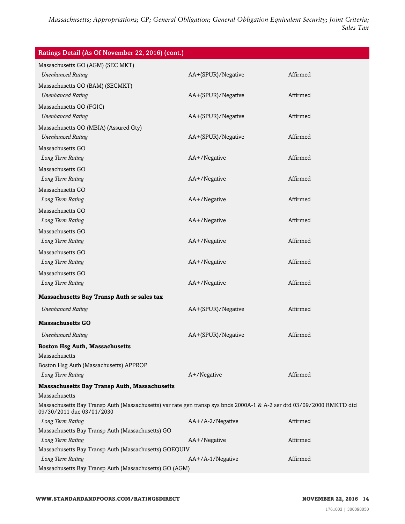| Ratings Detail (As Of November 22, 2016) (cont.)                                                                                                   |                    |          |  |  |
|----------------------------------------------------------------------------------------------------------------------------------------------------|--------------------|----------|--|--|
| Massachusetts GO (AGM) (SEC MKT)                                                                                                                   |                    |          |  |  |
| <b>Unenhanced Rating</b>                                                                                                                           | AA+(SPUR)/Negative | Affirmed |  |  |
| Massachusetts GO (BAM) (SECMKT)                                                                                                                    |                    |          |  |  |
| <b>Unenhanced Rating</b>                                                                                                                           | AA+(SPUR)/Negative | Affirmed |  |  |
| Massachusetts GO (FGIC)                                                                                                                            |                    |          |  |  |
| <b>Unenhanced Rating</b>                                                                                                                           | AA+(SPUR)/Negative | Affirmed |  |  |
| Massachusetts GO (MBIA) (Assured Gty)                                                                                                              |                    |          |  |  |
| <b>Unenhanced Rating</b>                                                                                                                           | AA+(SPUR)/Negative | Affirmed |  |  |
| Massachusetts GO                                                                                                                                   |                    |          |  |  |
| Long Term Rating                                                                                                                                   | AA+/Negative       | Affirmed |  |  |
| Massachusetts GO                                                                                                                                   |                    |          |  |  |
| Long Term Rating                                                                                                                                   | AA+/Negative       | Affirmed |  |  |
| Massachusetts GO                                                                                                                                   |                    |          |  |  |
| Long Term Rating                                                                                                                                   | AA+/Negative       | Affirmed |  |  |
| Massachusetts GO                                                                                                                                   |                    |          |  |  |
| Long Term Rating                                                                                                                                   | AA+/Negative       | Affirmed |  |  |
| Massachusetts GO                                                                                                                                   |                    |          |  |  |
| Long Term Rating                                                                                                                                   | AA+/Negative       | Affirmed |  |  |
| Massachusetts GO                                                                                                                                   |                    |          |  |  |
| Long Term Rating                                                                                                                                   | AA+/Negative       | Affirmed |  |  |
| Massachusetts GO                                                                                                                                   |                    |          |  |  |
| Long Term Rating                                                                                                                                   | AA+/Negative       | Affirmed |  |  |
| Massachusetts Bay Transp Auth sr sales tax                                                                                                         |                    |          |  |  |
|                                                                                                                                                    |                    |          |  |  |
| <b>Unenhanced Rating</b>                                                                                                                           | AA+(SPUR)/Negative | Affirmed |  |  |
| <b>Massachusetts GO</b>                                                                                                                            |                    |          |  |  |
| <b>Unenhanced Rating</b>                                                                                                                           | AA+(SPUR)/Negative | Affirmed |  |  |
| <b>Boston Hsg Auth, Massachusetts</b>                                                                                                              |                    |          |  |  |
| Massachusetts                                                                                                                                      |                    |          |  |  |
| Boston Hsg Auth (Massachusetts) APPROP                                                                                                             |                    |          |  |  |
| Long Term Rating                                                                                                                                   | A+/Negative        | Affirmed |  |  |
| <b>Massachusetts Bay Transp Auth, Massachusetts</b>                                                                                                |                    |          |  |  |
| Massachusetts                                                                                                                                      |                    |          |  |  |
| Massachusetts Bay Transp Auth (Massachusetts) var rate gen transp sys bnds 2000A-1 & A-2 ser dtd 03/09/2000 RMKTD dtd<br>09/30/2011 due 03/01/2030 |                    |          |  |  |
| Long Term Rating                                                                                                                                   | AA+/A-2/Negative   | Affirmed |  |  |
| Massachusetts Bay Transp Auth (Massachusetts) GO                                                                                                   |                    |          |  |  |
| Long Term Rating                                                                                                                                   | AA+/Negative       | Affirmed |  |  |
| Massachusetts Bay Transp Auth (Massachusetts) GOEQUIV<br>Long Term Rating                                                                          | AA+/A-1/Negative   | Affirmed |  |  |
| Massachusetts Bay Transp Auth (Massachusetts) GO (AGM)                                                                                             |                    |          |  |  |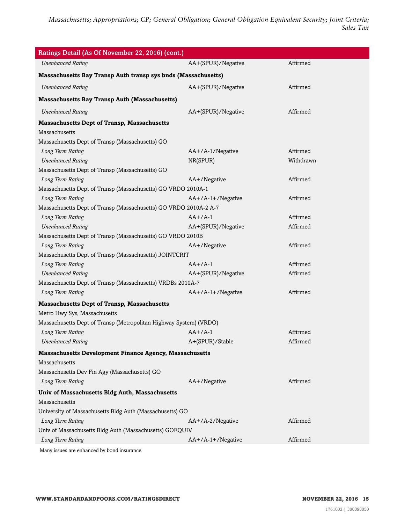| Ratings Detail (As Of November 22, 2016) (cont.)                  |                     |           |  |  |
|-------------------------------------------------------------------|---------------------|-----------|--|--|
| <b>Unenhanced Rating</b>                                          | AA+(SPUR)/Negative  | Affirmed  |  |  |
| Massachusetts Bay Transp Auth transp sys bnds (Massachusetts)     |                     |           |  |  |
| <b>Unenhanced Rating</b>                                          | AA+(SPUR)/Negative  | Affirmed  |  |  |
| <b>Massachusetts Bay Transp Auth (Massachusetts)</b>              |                     |           |  |  |
| <b>Unenhanced Rating</b>                                          | AA+(SPUR)/Negative  | Affirmed  |  |  |
| <b>Massachusetts Dept of Transp, Massachusetts</b>                |                     |           |  |  |
| Massachusetts                                                     |                     |           |  |  |
| Massachusetts Dept of Transp (Massachusetts) GO                   |                     |           |  |  |
| Long Term Rating                                                  | AA+/A-1/Negative    | Affirmed  |  |  |
| <b>Unenhanced Rating</b>                                          | NR(SPUR)            | Withdrawn |  |  |
| Massachusetts Dept of Transp (Massachusetts) GO                   |                     |           |  |  |
| Long Term Rating                                                  | AA+/Negative        | Affirmed  |  |  |
| Massachusetts Dept of Transp (Massachusetts) GO VRDO 2010A-1      |                     |           |  |  |
| Long Term Rating                                                  | $AA+/A-1+/Negative$ | Affirmed  |  |  |
| Massachusetts Dept of Transp (Massachusetts) GO VRDO 2010A-2 A-7  |                     |           |  |  |
| Long Term Rating                                                  | $AA+/A-1$           | Affirmed  |  |  |
| <b>Unenhanced Rating</b>                                          | AA+(SPUR)/Negative  | Affirmed  |  |  |
| Massachusetts Dept of Transp (Massachusetts) GO VRDO 2010B        |                     |           |  |  |
| Long Term Rating                                                  | AA+/Negative        | Affirmed  |  |  |
| Massachusetts Dept of Transp (Massachusetts) JOINTCRIT            |                     |           |  |  |
| Long Term Rating                                                  | $AA+/A-1$           | Affirmed  |  |  |
| <b>Unenhanced Rating</b>                                          | AA+(SPUR)/Negative  | Affirmed  |  |  |
| Massachusetts Dept of Transp (Massachusetts) VRDBs 2010A-7        |                     |           |  |  |
| Long Term Rating                                                  | $AA+/A-1+/Negative$ | Affirmed  |  |  |
| <b>Massachusetts Dept of Transp, Massachusetts</b>                |                     |           |  |  |
| Metro Hwy Sys, Massachusetts                                      |                     |           |  |  |
| Massachusetts Dept of Transp (Metropolitan Highway System) (VRDO) |                     |           |  |  |
| Long Term Rating                                                  | $AA+/A-1$           | Affirmed  |  |  |
| <b>Unenhanced Rating</b>                                          | A+(SPUR)/Stable     | Affirmed  |  |  |
| <b>Massachusetts Development Finance Agency, Massachusetts</b>    |                     |           |  |  |
| Massachusetts                                                     |                     |           |  |  |
| Massachusetts Dev Fin Agy (Massachusetts) GO                      |                     |           |  |  |
| Long Term Rating                                                  | AA+/Negative        | Affirmed  |  |  |
| Univ of Massachusetts Bldg Auth, Massachusetts                    |                     |           |  |  |
| Massachusetts                                                     |                     |           |  |  |
| University of Massachusetts Bldg Auth (Massachusetts) GO          |                     |           |  |  |
| Long Term Rating                                                  | AA+/A-2/Negative    | Affirmed  |  |  |
| Univ of Massachusetts Bldg Auth (Massachusetts) GOEQUIV           |                     |           |  |  |
| Long Term Rating                                                  | $AA+/A-1+/Negative$ | Affirmed  |  |  |
| Many issues are enhanced by bond insurance.                       |                     |           |  |  |